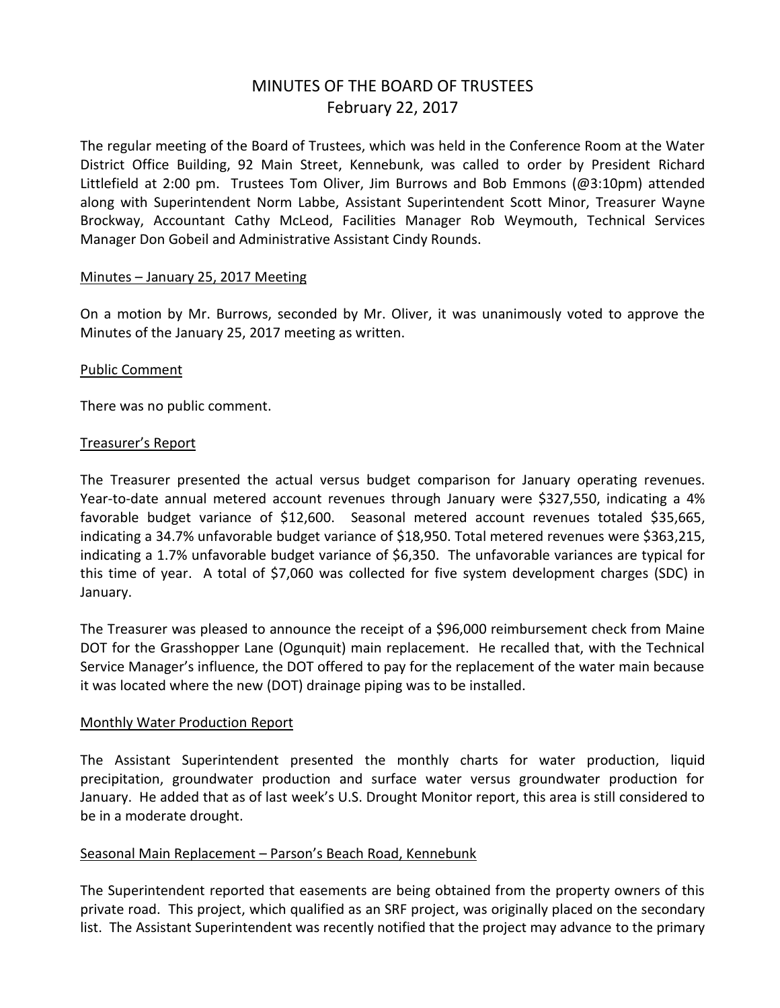# MINUTES OF THE BOARD OF TRUSTEES February 22, 2017

The regular meeting of the Board of Trustees, which was held in the Conference Room at the Water District Office Building, 92 Main Street, Kennebunk, was called to order by President Richard Littlefield at 2:00 pm. Trustees Tom Oliver, Jim Burrows and Bob Emmons (@3:10pm) attended along with Superintendent Norm Labbe, Assistant Superintendent Scott Minor, Treasurer Wayne Brockway, Accountant Cathy McLeod, Facilities Manager Rob Weymouth, Technical Services Manager Don Gobeil and Administrative Assistant Cindy Rounds.

#### Minutes – January 25, 2017 Meeting

On a motion by Mr. Burrows, seconded by Mr. Oliver, it was unanimously voted to approve the Minutes of the January 25, 2017 meeting as written.

#### Public Comment

There was no public comment.

#### Treasurer's Report

The Treasurer presented the actual versus budget comparison for January operating revenues. Year-to-date annual metered account revenues through January were \$327,550, indicating a 4% favorable budget variance of \$12,600. Seasonal metered account revenues totaled \$35,665, indicating a 34.7% unfavorable budget variance of \$18,950. Total metered revenues were \$363,215, indicating a 1.7% unfavorable budget variance of \$6,350. The unfavorable variances are typical for this time of year. A total of \$7,060 was collected for five system development charges (SDC) in January.

The Treasurer was pleased to announce the receipt of a \$96,000 reimbursement check from Maine DOT for the Grasshopper Lane (Ogunquit) main replacement. He recalled that, with the Technical Service Manager's influence, the DOT offered to pay for the replacement of the water main because it was located where the new (DOT) drainage piping was to be installed.

#### Monthly Water Production Report

The Assistant Superintendent presented the monthly charts for water production, liquid precipitation, groundwater production and surface water versus groundwater production for January. He added that as of last week's U.S. Drought Monitor report, this area is still considered to be in a moderate drought.

## Seasonal Main Replacement – Parson's Beach Road, Kennebunk

The Superintendent reported that easements are being obtained from the property owners of this private road. This project, which qualified as an SRF project, was originally placed on the secondary list. The Assistant Superintendent was recently notified that the project may advance to the primary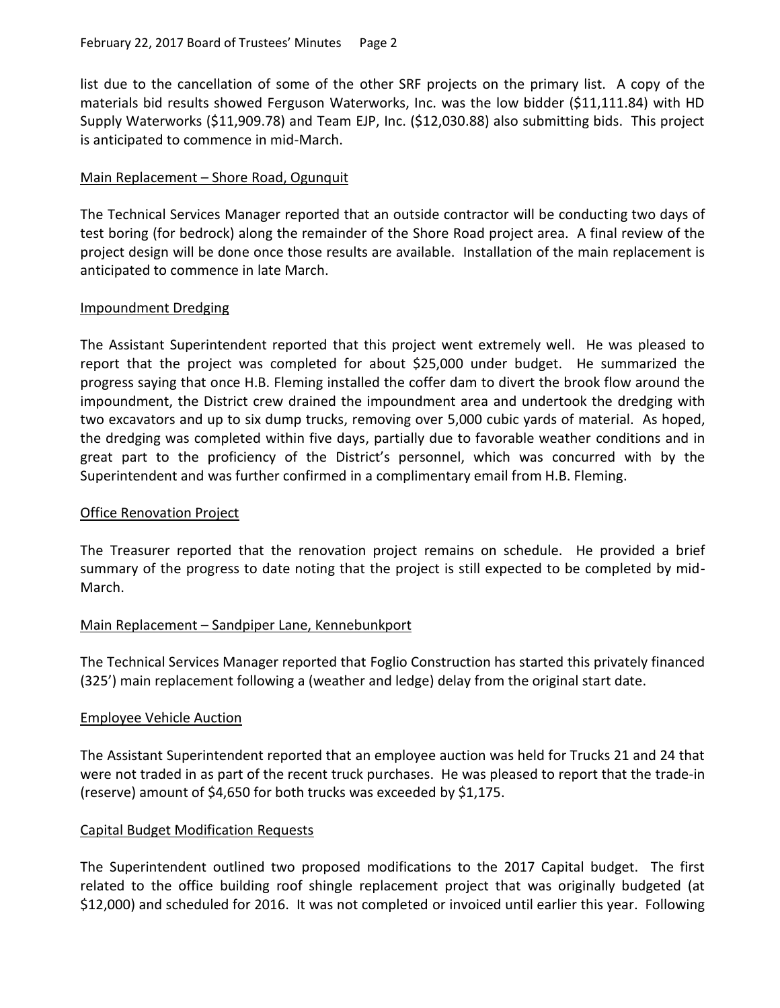list due to the cancellation of some of the other SRF projects on the primary list. A copy of the materials bid results showed Ferguson Waterworks, Inc. was the low bidder (\$11,111.84) with HD Supply Waterworks (\$11,909.78) and Team EJP, Inc. (\$12,030.88) also submitting bids. This project is anticipated to commence in mid-March.

## Main Replacement – Shore Road, Ogunquit

The Technical Services Manager reported that an outside contractor will be conducting two days of test boring (for bedrock) along the remainder of the Shore Road project area. A final review of the project design will be done once those results are available. Installation of the main replacement is anticipated to commence in late March.

## Impoundment Dredging

The Assistant Superintendent reported that this project went extremely well. He was pleased to report that the project was completed for about \$25,000 under budget. He summarized the progress saying that once H.B. Fleming installed the coffer dam to divert the brook flow around the impoundment, the District crew drained the impoundment area and undertook the dredging with two excavators and up to six dump trucks, removing over 5,000 cubic yards of material. As hoped, the dredging was completed within five days, partially due to favorable weather conditions and in great part to the proficiency of the District's personnel, which was concurred with by the Superintendent and was further confirmed in a complimentary email from H.B. Fleming.

## Office Renovation Project

The Treasurer reported that the renovation project remains on schedule. He provided a brief summary of the progress to date noting that the project is still expected to be completed by mid-March.

# Main Replacement – Sandpiper Lane, Kennebunkport

The Technical Services Manager reported that Foglio Construction has started this privately financed (325') main replacement following a (weather and ledge) delay from the original start date.

## Employee Vehicle Auction

The Assistant Superintendent reported that an employee auction was held for Trucks 21 and 24 that were not traded in as part of the recent truck purchases. He was pleased to report that the trade-in (reserve) amount of \$4,650 for both trucks was exceeded by \$1,175.

## Capital Budget Modification Requests

The Superintendent outlined two proposed modifications to the 2017 Capital budget. The first related to the office building roof shingle replacement project that was originally budgeted (at \$12,000) and scheduled for 2016. It was not completed or invoiced until earlier this year. Following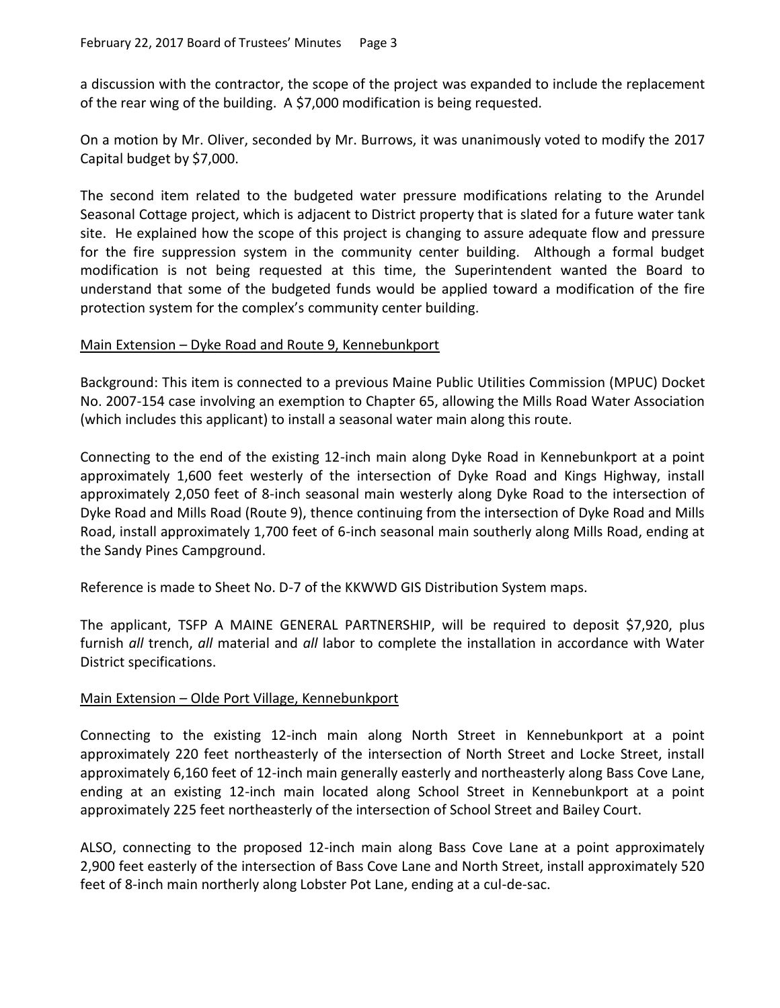a discussion with the contractor, the scope of the project was expanded to include the replacement of the rear wing of the building. A \$7,000 modification is being requested.

On a motion by Mr. Oliver, seconded by Mr. Burrows, it was unanimously voted to modify the 2017 Capital budget by \$7,000.

The second item related to the budgeted water pressure modifications relating to the Arundel Seasonal Cottage project, which is adjacent to District property that is slated for a future water tank site. He explained how the scope of this project is changing to assure adequate flow and pressure for the fire suppression system in the community center building. Although a formal budget modification is not being requested at this time, the Superintendent wanted the Board to understand that some of the budgeted funds would be applied toward a modification of the fire protection system for the complex's community center building.

# Main Extension – Dyke Road and Route 9, Kennebunkport

Background: This item is connected to a previous Maine Public Utilities Commission (MPUC) Docket No. 2007-154 case involving an exemption to Chapter 65, allowing the Mills Road Water Association (which includes this applicant) to install a seasonal water main along this route.

Connecting to the end of the existing 12-inch main along Dyke Road in Kennebunkport at a point approximately 1,600 feet westerly of the intersection of Dyke Road and Kings Highway, install approximately 2,050 feet of 8-inch seasonal main westerly along Dyke Road to the intersection of Dyke Road and Mills Road (Route 9), thence continuing from the intersection of Dyke Road and Mills Road, install approximately 1,700 feet of 6-inch seasonal main southerly along Mills Road, ending at the Sandy Pines Campground.

Reference is made to Sheet No. D-7 of the KKWWD GIS Distribution System maps.

The applicant, TSFP A MAINE GENERAL PARTNERSHIP, will be required to deposit \$7,920, plus furnish *all* trench, *all* material and *all* labor to complete the installation in accordance with Water District specifications.

## Main Extension – Olde Port Village, Kennebunkport

Connecting to the existing 12-inch main along North Street in Kennebunkport at a point approximately 220 feet northeasterly of the intersection of North Street and Locke Street, install approximately 6,160 feet of 12-inch main generally easterly and northeasterly along Bass Cove Lane, ending at an existing 12-inch main located along School Street in Kennebunkport at a point approximately 225 feet northeasterly of the intersection of School Street and Bailey Court.

ALSO, connecting to the proposed 12-inch main along Bass Cove Lane at a point approximately 2,900 feet easterly of the intersection of Bass Cove Lane and North Street, install approximately 520 feet of 8-inch main northerly along Lobster Pot Lane, ending at a cul-de-sac.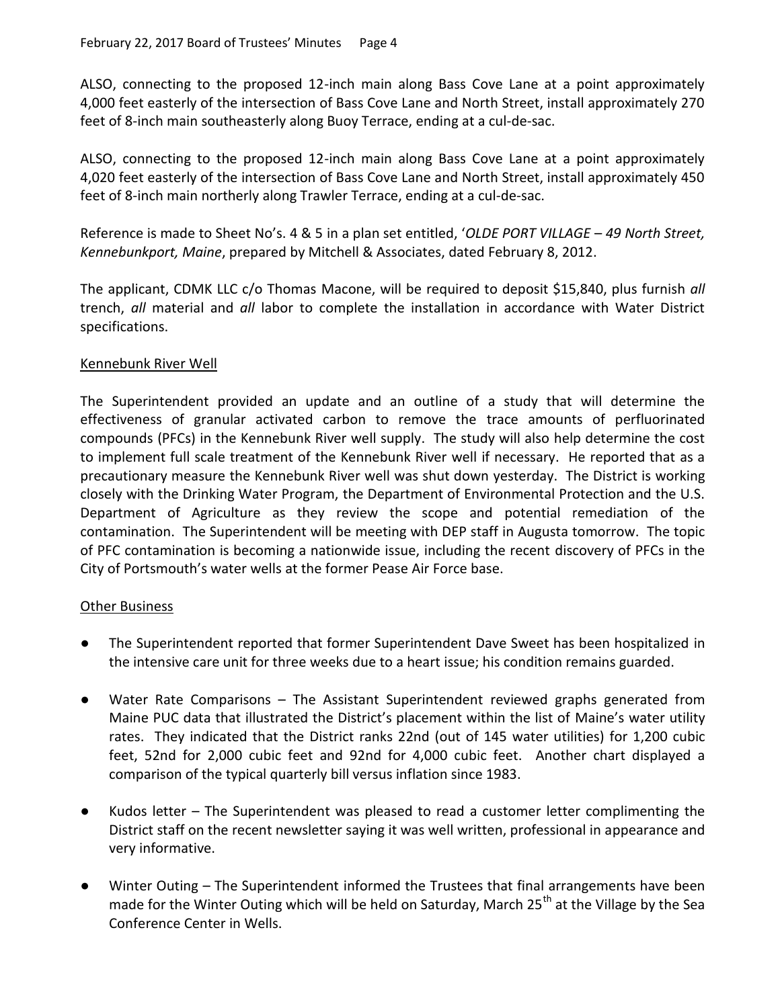ALSO, connecting to the proposed 12-inch main along Bass Cove Lane at a point approximately 4,000 feet easterly of the intersection of Bass Cove Lane and North Street, install approximately 270 feet of 8-inch main southeasterly along Buoy Terrace, ending at a cul-de-sac.

ALSO, connecting to the proposed 12-inch main along Bass Cove Lane at a point approximately 4,020 feet easterly of the intersection of Bass Cove Lane and North Street, install approximately 450 feet of 8-inch main northerly along Trawler Terrace, ending at a cul-de-sac.

Reference is made to Sheet No's. 4 & 5 in a plan set entitled, '*OLDE PORT VILLAGE* – *49 North Street, Kennebunkport, Maine*, prepared by Mitchell & Associates, dated February 8, 2012.

The applicant, CDMK LLC c/o Thomas Macone, will be required to deposit \$15,840, plus furnish *all* trench, *all* material and *all* labor to complete the installation in accordance with Water District specifications.

# Kennebunk River Well

The Superintendent provided an update and an outline of a study that will determine the effectiveness of granular activated carbon to remove the trace amounts of perfluorinated compounds (PFCs) in the Kennebunk River well supply. The study will also help determine the cost to implement full scale treatment of the Kennebunk River well if necessary. He reported that as a precautionary measure the Kennebunk River well was shut down yesterday. The District is working closely with the Drinking Water Program, the Department of Environmental Protection and the U.S. Department of Agriculture as they review the scope and potential remediation of the contamination. The Superintendent will be meeting with DEP staff in Augusta tomorrow. The topic of PFC contamination is becoming a nationwide issue, including the recent discovery of PFCs in the City of Portsmouth's water wells at the former Pease Air Force base.

## **Other Business**

- The Superintendent reported that former Superintendent Dave Sweet has been hospitalized in the intensive care unit for three weeks due to a heart issue; his condition remains guarded.
- Water Rate Comparisons The Assistant Superintendent reviewed graphs generated from Maine PUC data that illustrated the District's placement within the list of Maine's water utility rates. They indicated that the District ranks 22nd (out of 145 water utilities) for 1,200 cubic feet, 52nd for 2,000 cubic feet and 92nd for 4,000 cubic feet. Another chart displayed a comparison of the typical quarterly bill versus inflation since 1983.
- Kudos letter The Superintendent was pleased to read a customer letter complimenting the District staff on the recent newsletter saying it was well written, professional in appearance and very informative.
- Winter Outing The Superintendent informed the Trustees that final arrangements have been made for the Winter Outing which will be held on Saturday, March 25<sup>th</sup> at the Village by the Sea Conference Center in Wells.